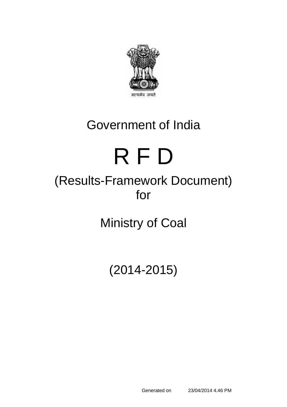

# Government of India

# R F D

# (Results-Framework Document) for

Ministry of Coal

(2014-2015)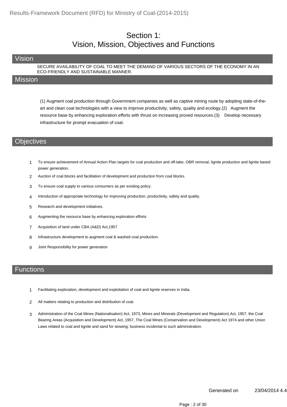#### Section 1: Vision, Mission, Objectives and Functions

#### Vision

SECURE AVAILABILITY OF COAL TO MEET THE DEMAND OF VARIOUS SECTORS OF THE ECONOMY IN AN ECO-FRIENDLY AND SUSTAINABLE MANNER.

#### **Mission**

(1) Augment coal production through Government companies as well as captive mining route by adopting state-of-theart and clean coal technologies with a view to improve productivity, safety, quality and ecology.(2) Augment the resource base by enhancing exploration efforts with thrust on increasing proved resources.(3) Develop necessary infrastructure for prompt evacuation of coal.

#### **Objectives**

- 1 To ensure achievement of Annual Action Plan targets for coal production and off-take, OBR removal, lignite production and lignite based power generation.
- 2 Auction of coal blocks and facilitation of development and production from coal blocks.
- 3 To ensure coal supply to various consumers as per existing policy.
- 4 Introduction of appropriate technology for improving production, productivity, safety and quality.
- 5 Research and development initiatives.
- 6 Augmenting the resource base by enhancing exploration efforts
- 7 Acquisition of land under CBA (A&D) Act,1957
- 8 Infrastructure development to augment coal & washed coal production.
- 9 Joint Responsibility for power generation

#### **Functions**

- 1 Facilitating exploration, development and exploitation of coal and lignite reserves in India.
- 2 All matters relating to production and distribution of coal.
- Administration of the Coal Mines (Nationalisation) Act, 1973, Mines and Minerals (Development and Regulation) Act, 1957, the Coal Bearing Areas (Acquisition and Development) Act, 1957, The Coal Mines (Conservation and Development) Act 1974 and other Union Laws related to coal and lignite and sand for stowing; business incidental to such administration. 3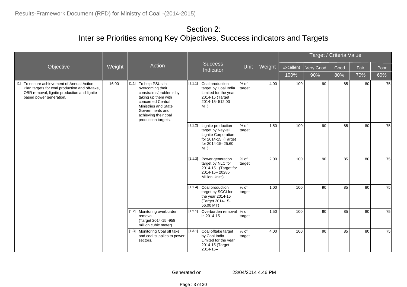|                                                                                                                                                                        |        |                                                                                                                                                                                                               |         |                                                                                                                           |                   |        |           |           | Target / Criteria Value |      |      |
|------------------------------------------------------------------------------------------------------------------------------------------------------------------------|--------|---------------------------------------------------------------------------------------------------------------------------------------------------------------------------------------------------------------|---------|---------------------------------------------------------------------------------------------------------------------------|-------------------|--------|-----------|-----------|-------------------------|------|------|
| Objective                                                                                                                                                              | Weight | Action                                                                                                                                                                                                        |         | <b>Success</b><br>Indicator                                                                                               | <b>Unit</b>       | Weight | Excellent | Very Good | Good                    | Fair | Poor |
|                                                                                                                                                                        |        |                                                                                                                                                                                                               |         |                                                                                                                           |                   |        | 100%      | 90%       | 80%                     | 70%  | 60%  |
| [1] To ensure achievement of Annual Action<br>Plan targets for coal production and off-take,<br>OBR removal, lignite production and lignite<br>based power generation. | 16.00  | [1.1]<br>To help PSUs in<br>overcoming their<br>constraints/problems by<br>taking up them with<br>concerned Central<br>Ministries and State<br>Governments and<br>achieving their coal<br>production targets. | [1.1.1] | Coal production<br>target by Coal India<br>Limited for the year<br>2014-15 (Target<br>2014-15-512.00<br>MT)               | % of<br>target    | 4.00   | 100       | 90        | 85                      | 80   | 75   |
|                                                                                                                                                                        |        |                                                                                                                                                                                                               | [1.1.2] | Lignite production<br>target by Neyveli<br><b>Lignite Corporation</b><br>for 2014-15 (Target<br>for 2014-15-25.60<br>MT). | $%$ of<br>target  | 1.50   | 100       | 90        | 85                      | 80   | 75   |
|                                                                                                                                                                        |        |                                                                                                                                                                                                               |         | [1.1.3] Power generation<br>target by NLC for<br>2014-15. (Target for<br>2014-15-20285<br>Million Units).                 | % of<br>target    | 2.00   | 100       | 90        | 85                      | 80   | 75   |
|                                                                                                                                                                        |        |                                                                                                                                                                                                               |         | [1.1.4] Coal production<br>target by SCCLfor<br>the year 2014-15<br>(Target 2014-15-<br>56.00 MT)                         | $%$ of<br>target  | 1.00   | 100       | 90        | 85                      | 80   | 75   |
|                                                                                                                                                                        |        | [1.2] Monitoring overburden<br>removal<br>(Target 2014-15 -958<br>million cubic meter)                                                                                                                        | [1.2.1] | Overburden removal<br>in 2014-15                                                                                          | $%$ of<br>target  | 1.50   | 100       | 90        | 85                      | 80   | 75   |
|                                                                                                                                                                        |        | [1.3] Monitoring Coal off take<br>and coal supplies to power<br>sectors.                                                                                                                                      | [1.3.1] | Coal offtake target<br>by Coal India<br>Limited for the year<br>2014-15 (Target<br>$2014 - 15 -$                          | $\%$ of<br>target | 4.00   | 100       | 90        | 85                      | 80   | 75   |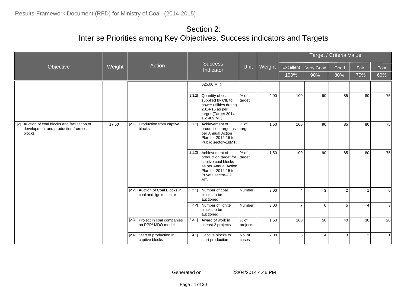|                                                                                                   |        |                                                            |         |                                                                                                                                                    |                    |        |                |                  | Target / Criteria Value |                |              |
|---------------------------------------------------------------------------------------------------|--------|------------------------------------------------------------|---------|----------------------------------------------------------------------------------------------------------------------------------------------------|--------------------|--------|----------------|------------------|-------------------------|----------------|--------------|
| Objective                                                                                         | Weight | Action                                                     |         | <b>Success</b><br>Indicator                                                                                                                        | Unit               | Weight | Excellent      | <b>Very Good</b> | Good                    | Fair           | Poor         |
|                                                                                                   |        |                                                            |         |                                                                                                                                                    |                    |        | 100%           | 90%              | 80%                     | 70%            | 60%          |
|                                                                                                   |        |                                                            |         | 525.00 MT).                                                                                                                                        |                    |        |                |                  |                         |                |              |
|                                                                                                   |        |                                                            |         | [1.3.2] Quantity of coal<br>supplied by CIL to<br>power utilities during<br>2014-15 as per<br>target (Target 2014-<br>15:409 MT).                  | % of<br>target     | 2.00   | 100            | 90               | 85                      | 80             | 75           |
| [2] Auction of coal blocks and facilitation of<br>development and production from coal<br>blocks. | 17.50  | [2.1]<br>Production from captive<br>blocks.                | [2.1.1] | Achievement of<br>production target as<br>per Annual Action<br>Plan for 2014-15 for<br>Public sector-18MT.                                         | $%$ of<br>target   | 1.50   | 100            | 90               | 85                      | 80             | 75           |
|                                                                                                   |        |                                                            |         | [2.1.2] Achievement of<br>production target for<br>captive coal blocks<br>as per Annual Action<br>Plan for 2014-15 for<br>Private sector-32<br>MT. | % of<br>target     | 1.50   | 100            | 90               | 85                      | 80             | 75           |
|                                                                                                   |        | [2.2] Auction of Coal Blocks in<br>coal and lignite sector | [2.2.1] | Number of coal<br>blocks to be<br>auctioned                                                                                                        | <b>Number</b>      | 3.00   | $\overline{4}$ | 3                | $\overline{2}$          |                | $\Omega$     |
|                                                                                                   |        |                                                            |         | [2.2.2] Number of lignite<br>blocks to be<br>auctioned                                                                                             | Number             | 3.00   | $\overline{7}$ | 6                | 5                       | 4              | $\mathbf{3}$ |
|                                                                                                   |        | [2.3] Project in coal companies<br>on PPP/ MDO model       | [2.3.1] | Award of work in<br>atleast 2 projects                                                                                                             | $%$ of<br>projects | 1.50   | 100            | 50               | 40                      | 30             | 20           |
|                                                                                                   |        | Start of production in<br>$[2.4]$<br>captive blocks        |         | [2.4.1] Captive blocks to<br>start production                                                                                                      | No. of<br>cases    | 2.00   | 5              | $\overline{4}$   | $\overline{3}$          | $\overline{2}$ |              |

Page : 4 of 30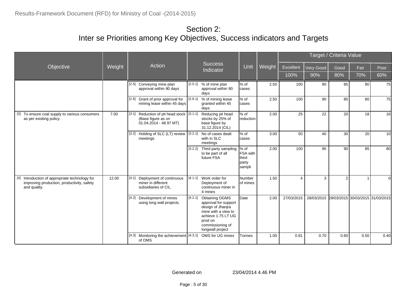|                                                                                                              |        |                                                                                               |         |                                                                                                                                                                    |                                                             |        |                |                                             | Target / Criteria Value |      |          |
|--------------------------------------------------------------------------------------------------------------|--------|-----------------------------------------------------------------------------------------------|---------|--------------------------------------------------------------------------------------------------------------------------------------------------------------------|-------------------------------------------------------------|--------|----------------|---------------------------------------------|-------------------------|------|----------|
| Objective                                                                                                    | Weight | Action                                                                                        |         | <b>Success</b><br>Indicator                                                                                                                                        | Unit                                                        | Weight | Excellent      | Very Good                                   | Good                    | Fair | Poor     |
|                                                                                                              |        |                                                                                               |         |                                                                                                                                                                    |                                                             |        | 100%           | 90%                                         | 80%                     | 70%  | 60%      |
|                                                                                                              |        | [2.5] Conveying mine plan<br>approval within 90 days                                          |         | $[2.5.1]$ % of mine plan<br>approval within 90<br>days                                                                                                             | % of<br>Icases                                              | 2.50   | 100            | 90                                          | 85                      | 80   | 75       |
|                                                                                                              |        | [2.6] Grant of prior approval for<br>mining lease within 45 days                              |         | [2.6.1] % of mining lease<br>granted within 45<br>days                                                                                                             | % of<br>Icases                                              | 2.50   | 100            | 90                                          | 85                      | 80   | 75       |
| [3] To ensure coal supply to various consumers<br>as per existing policy.                                    | 7.00   | [3.1]<br>Reduction of pit head stock<br>(Base figure as on<br>$01.04.2014 - 48.97 \text{ MT}$ | [3.1.1] | Reducing pit head<br>stocks by 25% of<br>base figure by<br>31.12.2014 (CIL)                                                                                        | % of<br><b>I</b> reduction                                  | 2.00   | 25             | 22                                          | 20                      | 18   | 16       |
|                                                                                                              |        | $\sqrt{[3.2]}$ Holding of SLC (LT) review  <br>meetings                                       | [3.2.1] | No of cases dealt<br>with in SLC<br>meetings                                                                                                                       | % of<br>Icases                                              | 3.00   | 50             | 40                                          | 30                      | 20   | 10       |
|                                                                                                              |        |                                                                                               |         | [3.2.2] Third party sampling<br>to be part of all<br>future FSA                                                                                                    | % of<br><b>FSA</b> with<br><b>Ithird</b><br>party<br>sampli | 2.00   | 100            | 95                                          | 90                      | 85   | 80       |
| [4] Introduction of appropriate technology for<br>improving production, productivity, safety<br>and quality. | 12.00  | Deployment of continuous<br>[4.1]<br>miner in different<br>subsidiaries of CIL.               |         | [4.1.1] Work order for<br>Deployment of<br>continuous miner in<br>4 mines                                                                                          | <b>Number</b><br>lof mines                                  | 1.50   | $\overline{4}$ | 3                                           | 2                       |      | $\Omega$ |
|                                                                                                              |        | Development of mines<br>[4.2]<br>using long wall projects.                                    | [4.2.1] | <b>Obtaining DGMS</b><br>approval for support<br>design of Jhanjra<br>mine with a view to<br>achieve 1.75 LT UG<br>prod on<br>commissioning of<br>longwall project | Date                                                        | 2.00   | 27/03/2015     | 28/03/2015 29/03/2015 30/03/2015 31/03/2015 |                         |      |          |
|                                                                                                              |        | Monitoring the achievement [4.3.1] OMS for UG mines<br>$[4.3]$<br>of OMS                      |         |                                                                                                                                                                    | Tonnes                                                      | 1.00   | 0.81           | 0.70                                        | 0.60                    | 0.50 | 0.40     |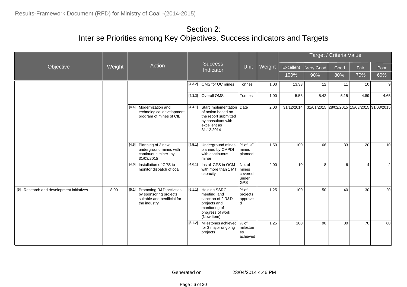|                                           |        |                                                                                                            |         |                                                                                                                                     |                                                            |        |            |                                             | Target / Criteria Value |                 |                |
|-------------------------------------------|--------|------------------------------------------------------------------------------------------------------------|---------|-------------------------------------------------------------------------------------------------------------------------------------|------------------------------------------------------------|--------|------------|---------------------------------------------|-------------------------|-----------------|----------------|
| Objective                                 | Weight | Action                                                                                                     |         | <b>Success</b><br>Indicator                                                                                                         | Unit                                                       | Weight | Excellent  | Very Good                                   | Good                    | Fair            | Poor           |
|                                           |        |                                                                                                            |         |                                                                                                                                     |                                                            |        | 100%       | 90%                                         | 80%                     | 70%             | 60%            |
|                                           |        |                                                                                                            |         | [4.3.2] OMS for OC mines                                                                                                            | Tonnes                                                     | 1.00   | 13.33      | 12                                          | 11                      | 10              | 9              |
|                                           |        |                                                                                                            |         | [4.3.3] Overall OMS                                                                                                                 | Tonnes                                                     | 1.00   | 5.53       | 5.42                                        | 5.15                    | 4.89            | 4.65           |
|                                           |        | [4.4] Modernization and<br>technological development<br>program of mines of CIL                            |         | [4.4.1] Start implementation Date<br>of action based on<br>the report submitted<br>by consultant with<br>excellent as<br>31.12.2014 |                                                            | 2.00   | 31/12/2014 | 31/01/2015 28/02/2015 15/03/2015 31/03/2015 |                         |                 |                |
|                                           |        | [4.5] Planning of 3 new<br>underground mines with<br>continuous miner- by<br>31/03/2015                    |         | [4.5.1] Underground mines<br>planned by CMPDI<br>with continuous<br>miner                                                           | % of UG<br>mines<br>planned                                | 1.50   | 100        | 66                                          | 33                      | 20              | 10             |
|                                           |        | Installation of GPS to<br>$[4.6]$<br>monitor dispatch of coal                                              | [4.6.1] | Install GPS in OCM<br>with more than 1 MT<br>capacity                                                                               | No. of<br><b>I</b> mines<br>covered<br>under<br><b>GPS</b> | 2.00   | 10         | 8                                           | 6                       | 4               | $\overline{2}$ |
| [5] Research and development initiatives. | 8.00   | Promoting R&D activities<br>[5.1]<br>by sponsoring projects<br>suitable and benificial for<br>the industry |         | [5.1.1] Holding SSRC<br>meeting and<br>sanction of 2 R&D<br>projects and<br>monitoring of<br>progress of work<br>(New Item)         | l% of<br>projects<br>approve<br>ld.                        | 1.25   | 100        | 50                                          | 40                      | 30 <sup>°</sup> | 20             |
|                                           |        |                                                                                                            |         | [5.1.2] Milestones achieved<br>for 3 major ongoing<br>projects                                                                      | $\frac{9}{6}$ of<br>mileston<br>es<br>achieved             | 1.25   | 100        | 90                                          | 80                      | 70              | 60             |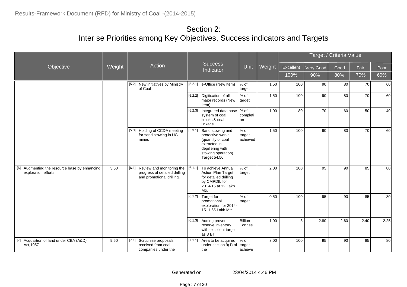|                                                                      |        |                                                                                               |         |                                                                                                                                     |                             |        |           |           | Target / Criteria Value |      |      |
|----------------------------------------------------------------------|--------|-----------------------------------------------------------------------------------------------|---------|-------------------------------------------------------------------------------------------------------------------------------------|-----------------------------|--------|-----------|-----------|-------------------------|------|------|
| Objective                                                            | Weight | Action                                                                                        |         | <b>Success</b><br>Indicator                                                                                                         | Unit                        | Weight | Excellent | Very Good | Good                    | Fair | Poor |
|                                                                      |        |                                                                                               |         |                                                                                                                                     |                             |        | 100%      | 90%       | 80%                     | 70%  | 60%  |
|                                                                      |        | [5.2] New initiatives by Ministry<br>of Coal                                                  | [5.2.1] | e-Office (New Item)                                                                                                                 | % of<br>target              | 1.50   | 100       | 90        | 80                      | 70   | 60   |
|                                                                      |        |                                                                                               |         | [5.2.2] Digitisation of all<br>major records (New<br>Item)                                                                          | % of<br><b>target</b>       | 1.50   | 100       | 90        | 80                      | 70   | 60   |
|                                                                      |        |                                                                                               |         | [5.2.3] Integrated data base \% of<br>system of coal<br>blocks & coal<br>linkage                                                    | completi<br>lon             | 1.00   | 80        | 70        | 60                      | 50   | 40   |
|                                                                      |        | [5.3] Holding of CCDA meeting<br>for sand stowing in UG<br>mines                              | [5.3.1] | Sand stowing and<br>protective works<br>(quantity of coal<br>extracted in<br>depillering with<br>stowing operation)<br>Target 54.50 | % of<br>target<br>lachieved | 1.50   | 100       | 90        | 80                      | 70   | 60   |
| [6] Augmenting the resource base by enhancing<br>exploration efforts | 3.50   | [6.1] Review and monitoring the<br>progress of detailed drilling<br>and promotional drilling. | [6.1.1] | To achieve Annual<br><b>Action Plan Target</b><br>for detailed drilling<br>by CMPDIL for<br>2014-15 at 12 Lakh<br>Mtr.              | % of<br>target              | 2.00   | 100       | 95        | 90                      | 85   | 80   |
|                                                                      |        |                                                                                               |         | [6.1.2] Target for<br>promotional<br>exploration for 2014-<br>15-1.65 Lakh Mtr.                                                     | % of<br><b>target</b>       | 0.50   | 100       | 95        | 90                      | 85   | 80   |
|                                                                      |        |                                                                                               |         | [6.1.3] Adding proved<br>reserve inventory<br>with excellent target<br>as 3 BT                                                      | Billion<br><b>T</b> onnes   | 1.00   | 3         | 2.80      | 2.60                    | 2.40 | 2.25 |
| [7] Acquisition of land under CBA (A&D)<br>Act, 1957                 | 9.50   | Scrutinize proposals<br>[7.1]<br>received from coal<br>companies under the                    | [7.1.1] | Area to be acquired<br>under section 9(1) of<br>the                                                                                 | % of<br>target<br>achieve   | 3.00   | 100       | 95        | 90                      | 85   | 80   |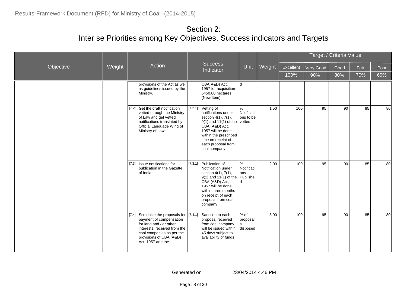|           |        |                                                                                                                                                                                                                  |                                                                                                                                                                                                                                |                                |        |           |           | Target / Criteria Value |      |      |
|-----------|--------|------------------------------------------------------------------------------------------------------------------------------------------------------------------------------------------------------------------|--------------------------------------------------------------------------------------------------------------------------------------------------------------------------------------------------------------------------------|--------------------------------|--------|-----------|-----------|-------------------------|------|------|
| Objective | Weight | Action                                                                                                                                                                                                           | <b>Success</b><br>Indicator                                                                                                                                                                                                    | Unit                           | Weight | Excellent | Very Good | Good                    | Fair | Poor |
|           |        |                                                                                                                                                                                                                  |                                                                                                                                                                                                                                |                                |        | 100%      | 90%       | 80%                     | 70%  | 60%  |
|           |        | provisions of the Act as well<br>as guidelines issued by the<br>Ministry.                                                                                                                                        | CBA(A&D) Act,<br>1957 for acquisition-<br>6450.00 hectares<br>(New Item)                                                                                                                                                       | Iq.                            |        |           |           |                         |      |      |
|           |        | Get the draft notification<br>[7.2]<br>vetted through the Ministry<br>of Law and get vetted<br>notifications translated by<br>Official Language Wing of<br>Ministry of Law                                       | [7.2.1] Vetting of<br>notifications under<br>section 4(1), 7(1),<br>$9(1)$ and 11(1) of the vetted<br>CBA (A&D) Act,<br>1957 will be done<br>within the prescribed<br>time on receipt of<br>each proposal from<br>coal company | %<br>Notificati<br>ons to be   | 1.50   | 100       | 95        | 90                      | 85   | 80   |
|           |        | Issue notifications for<br>[7.3]<br>publication in the Gazette<br>of India                                                                                                                                       | [7.3.1] Publication of<br>Notification under<br>section 4(1), 7(1),<br>$9(1)$ and 11(1) of the Publishe<br>CBA (A&D) Act,<br>1957 will be done<br>within three months<br>on receipt of each<br>proposal from coal<br>company   | %<br>Notificati<br>lons        | 2.00   | 100       | 95        | 90                      | 85   | 80   |
|           |        | Scrutinize the proposals for [7.4.1]<br>[7.4]<br>payment of compensation<br>for land and / or other<br>interests, received from the<br>coal companies as per the<br>provisions of CBA (A&D)<br>Act, 1957 and the | Sanction to each<br>proposal received<br>from coal company<br>will be issued within<br>45 days subject to<br>availability of funds                                                                                             | $%$ of<br>proposal<br>disposed | 3.00   | 100       | 95        | 90                      | 85   | 80   |

Page : 8 of 30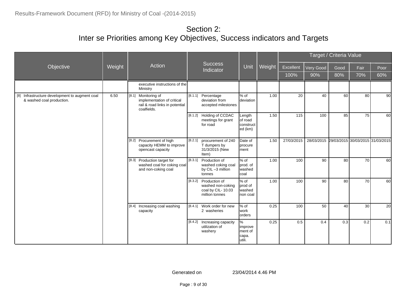|                                                                             |        |                                                                                                       |         |                                                                                   |                                             |        |            |            | Target / Criteria Value |      |                                  |
|-----------------------------------------------------------------------------|--------|-------------------------------------------------------------------------------------------------------|---------|-----------------------------------------------------------------------------------|---------------------------------------------|--------|------------|------------|-------------------------|------|----------------------------------|
| Objective                                                                   | Weight | Action                                                                                                |         | <b>Success</b><br>Indicator                                                       | Unit                                        | Weight | Excellent  | Very Good  | Good                    | Fair | Poor                             |
|                                                                             |        |                                                                                                       |         |                                                                                   |                                             |        | 100%       | 90%        | 80%                     | 70%  | 60%                              |
|                                                                             |        | executive instructions of the<br>Ministry                                                             |         |                                                                                   |                                             |        |            |            |                         |      |                                  |
| [8] Infrastructure development to augment coal<br>& washed coal production. | 6.50   | [8.1]<br>Monitoring of<br>implementation of critical<br>rail & road links in potential<br>coalfields. |         | [8.1.1] Percentage<br>deviation from<br>accepted milestones                       | $%$ of<br>deviation                         | 1.00   | 20         | 40         | 60                      | 80   | .90                              |
|                                                                             |        |                                                                                                       |         | [8.1.2] Holding of CCDAC<br>meetings for grant<br>for road                        | Length<br>of road<br>construct<br>ed (km)   | 1.50   | 115        | 100        | 85                      | 75   | 60                               |
|                                                                             |        | Procurement of high<br>[8.2]<br>capacity HEMM to improve<br>opencast capacity                         | [8.2.1] | procurement of 240<br>T dumpers by<br>31/3/2015 (New<br>Item)                     | Date of<br>procure<br><b>Iment</b>          | 1.50   | 27/03/2015 | 28/03/2015 |                         |      | 29/03/2015 30/03/2015 31/03/2015 |
|                                                                             |        | Production target for<br>[8.3]<br>washed coal for coking coal<br>and non-coking coal                  |         | [8.3.1] Production of<br>washed coking coal<br>by CIL-3 million<br>tonnes         | $%$ of<br>prod. of<br>washed<br>coal        | 1.00   | 100        | 90         | 80                      | 70   | 60I                              |
|                                                                             |        |                                                                                                       |         | [8.3.2] Production of<br>washed non-coking<br>coal by CIL-10.03<br>million tonnes | $%$ of<br>prod of<br>lwashed<br>non coal    | 1.00   | 100        | 90         | 80                      | 70   | 60                               |
|                                                                             |        | [8.4]<br>Increasing coal washing<br>capacity                                                          |         | [8.4.1] Work order for new<br>2 washeries                                         | $%$ of<br>work<br>orders                    | 0.25   | 100        | 50         | 40                      | 30   | 20                               |
|                                                                             |        |                                                                                                       |         | [8.4.2] Increasing capacity<br>utilization of<br>washery                          | %<br>improve<br>ment of<br>capa.<br>lutili. | 0.25   | 0.5        | 0.4        | 0.3                     | 0.2  | 0.1                              |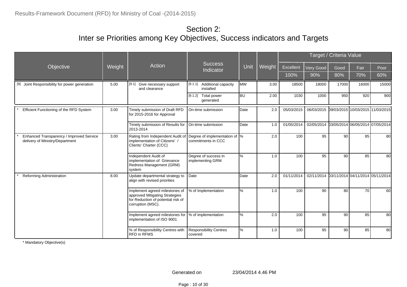|                                                                             |        |                                                                                                                             |                                                               |              |        |            |                                             | Target / Criteria Value |       |       |
|-----------------------------------------------------------------------------|--------|-----------------------------------------------------------------------------------------------------------------------------|---------------------------------------------------------------|--------------|--------|------------|---------------------------------------------|-------------------------|-------|-------|
| Objective                                                                   | Weight | Action                                                                                                                      | Success<br>Indicator                                          | Unit         | Weight | Excellent  | Very Good                                   | Good                    | Fair  | Poor  |
|                                                                             |        |                                                                                                                             |                                                               |              |        | 100%       | 90%                                         | 80%                     | 70%   | 60%   |
| [9] Joint Responsibility for power generation                               | 5.00   | [9.1]<br>Give necessary support<br>and clearance                                                                            | [9.1.1] Additional capacity<br>installed                      | <b>MW</b>    | 3.00   | 18500      | 18000                                       | 17000                   | 16000 | 15000 |
|                                                                             |        |                                                                                                                             | $[9.1.2]$ Total power<br>generated                            | lbu.         | 2.00   | 1030       | 1000                                        | 950                     | 920   | 900   |
| Efficient Functioning of the RFD System                                     | 3.00   | Timely submission of Draft RFD<br>for 2015-2016 for Approval                                                                | On-time submission                                            | Date         | 2.0    | 05/03/2015 | 06/03/2015 09/03/2015 10/03/2015 11/03/2015 |                         |       |       |
|                                                                             |        | Timely submission of Results for<br>2013-2014                                                                               | On-time submission                                            | <b>D</b> ate | 1.0    | 01/05/2014 | 02/05/2014 03/05/2014 06/05/2014 07/05/2014 |                         |       |       |
| Enhanced Transparency / Improved Service<br>delivery of Ministry/Department | 3.00   | Rating from Independent Audit of<br>implementation of Citizens'<br>Clients' Charter (CCC)                                   | Degree of implementation of $\sqrt{\ }$<br>commitments in CCC |              | 2.0    | 100        | 95                                          | 90                      | 85    | 80    |
|                                                                             |        | Independent Audit of<br>implementation of Grievance<br>Redress Management (GRM)<br>system                                   | Degree of success in<br>implementing GRM                      | $\%$         | 1.0    | 100        | 95                                          | 90                      | 85    | 80    |
| Reforming Administration                                                    | 8.00   | Update departmental strategy to<br>align with revised priorities                                                            | Date                                                          | <b>D</b> ate | 2.0    | 01/11/2014 | 02/11/2014 03/11/2014 04/11/2014 05/11/2014 |                         |       |       |
|                                                                             |        | Implement agreed milestones of<br>approved Mitigating Strategies<br>for Reduction of potential risk of<br>corruption (MSC). | % of Implementation                                           | %            | 1.0    | 100        | 90                                          | 80                      | 70    | 60    |
|                                                                             |        | Implement agreed milestones for<br>implementation of ISO 9001                                                               | % of implementation                                           | $\%$         | 2.0    | 100        | 95                                          | 90                      | 85    | 80    |
|                                                                             |        | % of Responsibility Centres with<br><b>RFD</b> in RFMS                                                                      | <b>Responsibility Centres</b><br>covered                      | %            | 1.0    | 100        | 95                                          | 90                      | 85    | 80    |

\* Mandatory Objective(s)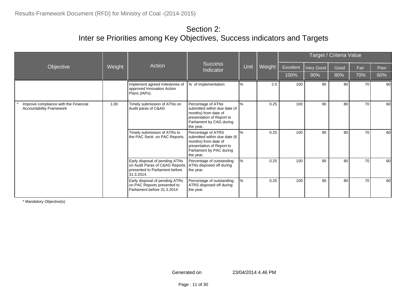|                                                                          |        |                                                                                                                  |                                                                                                                                                  |      |        |           |           | Target / Criteria Value |      |      |
|--------------------------------------------------------------------------|--------|------------------------------------------------------------------------------------------------------------------|--------------------------------------------------------------------------------------------------------------------------------------------------|------|--------|-----------|-----------|-------------------------|------|------|
| Objective                                                                | Weight | Action                                                                                                           | <b>Success</b><br>Indicator                                                                                                                      | Unit | Weight | Excellent | Very Good | Good                    | Fair | Poor |
|                                                                          |        |                                                                                                                  |                                                                                                                                                  |      |        | 100%      | 90%       | 80%                     | 70%  | 60%  |
|                                                                          |        | Implement agreed milestones of<br>approved Innovation Action<br>Plans (IAPs).                                    | % of implementation                                                                                                                              | %    | 2.0    | 100       | 90        | 80                      | 70   | 60   |
| Improve compliance with the Financial<br><b>Accountability Framework</b> | 1.00   | Timely submission of ATNs on<br>Audit paras of C&AG                                                              | Percentage of ATNs<br>submitted within due date (4<br>months) from date of<br>presentation of Report to<br>Parliament by CAG during<br>the year. | $\%$ | 0.25   | 100       | 90        | 80                      | 70   | 60   |
|                                                                          |        | Timely submission of ATRs to<br>the PAC Sectt. on PAC Reports.                                                   | Percentage of ATRS<br>submitted within due date (6<br>months) from date of<br>presentation of Report to<br>Parliament by PAC during<br>the year. | $\%$ | 0.25   | 100       | 90        | 80                      | 70   | 60   |
|                                                                          |        | Early disposal of pending ATNs<br>on Audit Paras of C&AG Reports<br>presented to Parliament before<br>31.3.2014. | Percentage of outstanding<br>ATNs disposed off during<br>the year.                                                                               | ℅    | 0.25   | 100       | 90        | 80                      | 70   | 60   |
|                                                                          |        | Early disposal of pending ATRs<br>on PAC Reports presented to<br>Parliament before 31.3.2014                     | Percentage of outstanding<br>ATRS disposed off during<br>the year.                                                                               | ℅    | 0.25   | 100       | 90        | 80                      | 70   | 60   |

\* Mandatory Objective(s)

Page : 11 of 30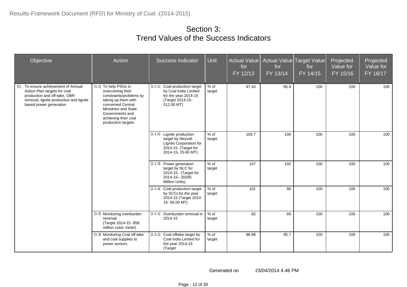| Objective                                                                                                                                                                      | Action                                                                                                                                                                                                     | <b>Success Indicator</b>                                                                                                | Unit             | Actual Value<br>for<br>FY 12/13 | for<br>FY 13/14 | Actual Value Target Value<br>for<br>FY 14/15 | Projected<br>Value for<br>FY 15/16 | Projected<br>Value for<br>FY 16/17 |
|--------------------------------------------------------------------------------------------------------------------------------------------------------------------------------|------------------------------------------------------------------------------------------------------------------------------------------------------------------------------------------------------------|-------------------------------------------------------------------------------------------------------------------------|------------------|---------------------------------|-----------------|----------------------------------------------|------------------------------------|------------------------------------|
| $[1]$<br>To ensure achievement of Annual<br>Action Plan targets for coal<br>production and off-take, OBR<br>removal, lignite production and lignite<br>based power generation. | [1.1] To help PSUs in<br>overcoming their<br>constraints/problems by<br>taking up them with<br>concerned Central<br>Ministries and State<br>Governments and<br>achieving their coal<br>production targets. | [1.1.1] Coal production target<br>by Coal India Limited<br>for the year 2014-15<br>(Target 2014-15-<br>512.00 MT)       | % of<br>target   | 97.43                           | 95.9            | 100                                          | 100                                | 100                                |
|                                                                                                                                                                                |                                                                                                                                                                                                            | [1.1.2] Lignite production<br>target by Neyveli<br>Lignite Corporation for<br>2014-15 (Target for<br>2014-15-25.60 MT). | $%$ of<br>target | 105.7                           | 100             | 100                                          | 100                                | 100                                |
|                                                                                                                                                                                |                                                                                                                                                                                                            | [1.1.3] Power generation<br>target by NLC for<br>2014-15. (Target for<br>2014-15-20285<br>Million Units).               | % of<br>target   | 107                             | 102             | 100                                          | 100                                | 100                                |
|                                                                                                                                                                                |                                                                                                                                                                                                            | [1.1.4] Coal production target<br>by SCCLfor the year<br>2014-15 (Target 2014-<br>15-56.00 MT)                          | $%$ of<br>target | 101                             | 90              | 100                                          | 100                                | 100                                |
|                                                                                                                                                                                | [1.2] Monitoring overburden<br>removal<br>(Target 2014-15 -958<br>million cubic meter)                                                                                                                     | [1.2.1] Overburden removal in<br>2014-15                                                                                | % of<br>target   | 82                              | 89              | 100                                          | 100                                | 100                                |
|                                                                                                                                                                                | [1.3] Monitoring Coal off take<br>and coal supplies to<br>power sectors.                                                                                                                                   | [1.3.1] Coal offtake target by<br>Coal India Limited for<br>the year 2014-15<br>(Target                                 | $%$ of<br>target | 98.98                           | 95.7            | 100                                          | 100                                | 100                                |

Page : 12 of 30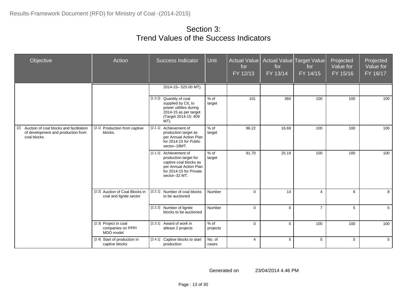| Objective                                                                                              | Action                                                     | Success Indicator                                                                                                                               | Unit             | <b>Actual Value</b><br>for<br>FY 12/13 | for<br>FY 13/14 | Actual Value Target Value<br>for<br>FY 14/15 | Projected<br>Value for<br>FY 15/16 | Projected<br>Value for<br>FY 16/17 |
|--------------------------------------------------------------------------------------------------------|------------------------------------------------------------|-------------------------------------------------------------------------------------------------------------------------------------------------|------------------|----------------------------------------|-----------------|----------------------------------------------|------------------------------------|------------------------------------|
|                                                                                                        |                                                            | 2014-15-525.00 MT).                                                                                                                             |                  |                                        |                 |                                              |                                    |                                    |
|                                                                                                        |                                                            | [1.3.2] Quantity of coal<br>supplied by CIL to<br>power utilities during<br>2014-15 as per target<br>(Target 2014-15: 409<br>MT).               | $%$ of<br>target | 101                                    | 360             | 100                                          | 100                                | 100                                |
| Auction of coal blocks and facilitation<br>$[2]$<br>of development and production from<br>coal blocks. | [2.1] Production from captive<br>blocks.                   | Achievement of<br>[2.1.1]<br>production target as<br>per Annual Action Plan<br>for 2014-15 for Public<br>sector-18MT.                           | $%$ of<br>target | 96.22                                  | 16.69           | 100                                          | 100                                | 100                                |
|                                                                                                        |                                                            | [2.1.2] Achievement of<br>production target for<br>captive coal blocks as<br>per Annual Action Plan<br>for 2014-15 for Private<br>sector-32 MT. | % of<br>target   | 91.70                                  | 25.19           | 100                                          | 100                                | 100                                |
|                                                                                                        | [2.2] Auction of Coal Blocks in<br>coal and lignite sector | [2.2.1]<br>Number of coal blocks<br>to be auctioned                                                                                             | Number           | $\Omega$                               | 14              | $\overline{\mathbf{4}}$                      | 6                                  | 8                                  |
|                                                                                                        |                                                            | Number of lignite<br>$[2.2.2]$<br>blocks to be auctioned                                                                                        | Number           | $\Omega$                               | $\mathbf{0}$    | $\overline{7}$                               | 5                                  | 5                                  |
|                                                                                                        | [2.3] Project in coal<br>companies on PPP/<br>MDO model    | [2.3.1] Award of work in<br>atleast 2 projects                                                                                                  | % of<br>projects | $\Omega$                               | $\Omega$        | 100                                          | 100                                | 100                                |
|                                                                                                        | [2.4] Start of production in<br>captive blocks             | [2.4.1] Captive blocks to start<br>production                                                                                                   | No. of<br>cases  | $\overline{4}$                         | 5               | 5                                            | 5                                  | 5                                  |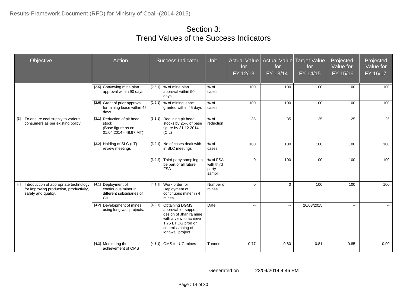| Objective                                                                                                         | Action                                                                                           | <b>Success Indicator</b>                                                                                                                                                   | Unit                                      | <b>Actual Value</b><br>for<br>FY 12/13 | for<br>FY 13/14                               | Actual Value Target Value<br>for<br>FY 14/15 | Projected<br>Value for<br>FY 15/16 | Projected<br>Value for<br>FY 16/17 |
|-------------------------------------------------------------------------------------------------------------------|--------------------------------------------------------------------------------------------------|----------------------------------------------------------------------------------------------------------------------------------------------------------------------------|-------------------------------------------|----------------------------------------|-----------------------------------------------|----------------------------------------------|------------------------------------|------------------------------------|
|                                                                                                                   | [2.5] Conveying mine plan<br>approval within 90 days                                             | [2.5.1]<br>% of mine plan<br>approval within 90<br>days                                                                                                                    | $%$ of<br>cases                           | 100                                    | 100                                           | 100                                          | 100                                | 100                                |
|                                                                                                                   | [2.6] Grant of prior approval<br>for mining lease within 45<br>days                              | % of mining lease<br>[2.6.1]<br>granted within 45 days                                                                                                                     | % of<br>cases                             | 100                                    | 100                                           | 100                                          | 100                                | 100                                |
| To ensure coal supply to various<br>$[3]$<br>consumers as per existing policy.                                    | [3.1]<br>Reduction of pit head<br>stock<br>(Base figure as on<br>$01.04.2014 - 48.97 \text{ MT}$ | [3.1.1]<br>Reducing pit head<br>stocks by 25% of base<br>figure by 31.12.2014<br>(CIL)                                                                                     | % of<br>reduction                         | 35                                     | 35                                            | 25                                           | 25                                 | 25                                 |
|                                                                                                                   | [3.2] Holding of SLC (LT)<br>review meetings                                                     | [3.2.1] No of cases dealt with<br>in SLC meetings                                                                                                                          | % of<br>cases                             | 100                                    | 100                                           | 100                                          | 100                                | 100                                |
|                                                                                                                   |                                                                                                  | [3.2.2]<br>Third party sampling to<br>be part of all future<br><b>FSA</b>                                                                                                  | % of FSA<br>with third<br>party<br>sampli | $\mathbf 0$                            | 100                                           | 100                                          | 100                                | 100                                |
| Introduction of appropriate technology<br>$[4]$<br>for improving production, productivity,<br>safety and quality. | [4.1] Deployment of<br>continuous miner in<br>different subsidiaries of<br>CIL.                  | [4.1.1] Work order for<br>Deployment of<br>continuous miner in 4<br>mines                                                                                                  | Number of<br>mines                        | $\Omega$                               | $\mathbf 0$                                   | 100                                          | 100                                | 100                                |
|                                                                                                                   | [4.2] Development of mines<br>using long wall projects.                                          | [4.2.1]<br><b>Obtaining DGMS</b><br>approval for support<br>design of Jhanjra mine<br>with a view to achieve<br>1.75 LT UG prod on<br>commissioning of<br>longwall project | Date                                      | $\sim$                                 | $\mathord{\hspace{1pt}\text{--}\hspace{1pt}}$ | 26/03/2015                                   | $\overline{a}$                     | $\mathbf{m}$                       |
|                                                                                                                   | [4.3] Monitoring the<br>achievement of OMS                                                       | [4.3.1] OMS for UG mines                                                                                                                                                   | Tonnes                                    | 0.77                                   | 0.80                                          | 0.81                                         | 0.85                               | 0.90                               |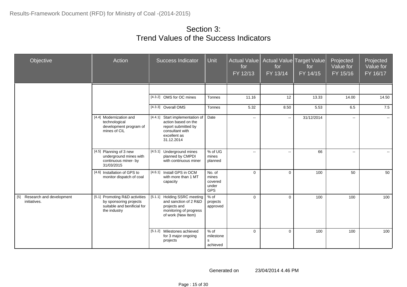| Objective                                    | Action                                                                                                  | <b>Success Indicator</b>                                                                                                          | <b>Unit</b>                                       | Actual Value<br>for<br>FY 12/13 | for<br>FY 13/14 | Actual Value Target Value<br>for<br>FY 14/15 | Projected<br>Value for<br>$FY$ 15/16 | Projected<br>Value for<br>FY 16/17 |
|----------------------------------------------|---------------------------------------------------------------------------------------------------------|-----------------------------------------------------------------------------------------------------------------------------------|---------------------------------------------------|---------------------------------|-----------------|----------------------------------------------|--------------------------------------|------------------------------------|
|                                              |                                                                                                         |                                                                                                                                   |                                                   |                                 |                 |                                              |                                      |                                    |
|                                              |                                                                                                         | [4.3.2] OMS for OC mines                                                                                                          | Tonnes                                            | 11.16                           | 12              | 13.33                                        | 14.00                                | 14.50                              |
|                                              |                                                                                                         | [4.3.3] Overall OMS                                                                                                               | Tonnes                                            | 5.32                            | 8.50            | 5.53                                         | 6.5                                  | $\overline{7.5}$                   |
|                                              | [4.4] Modernization and<br>technological<br>development program of<br>mines of CIL                      | [4.4.1]<br>Start implementation of<br>action based on the<br>report submitted by<br>consultant with<br>excellent as<br>31.12.2014 | Date                                              | $\mathbf{L}$                    | $\sim$          | 31/12/2014                                   | $\sim$                               | $\sim$                             |
|                                              | [4.5] Planning of 3 new<br>underground mines with<br>continuous miner- by<br>31/03/2015                 | [4.5.1]<br>Underground mines<br>planned by CMPDI<br>with continuous miner                                                         | % of UG<br>mines<br>planned                       | $\overline{a}$                  | $\sim$ $\sim$   | 66                                           | $\overline{\phantom{a}}$             |                                    |
|                                              | [4.6] Installation of GPS to<br>monitor dispatch of coal                                                | [4.6.1] Install GPS in OCM<br>with more than 1 MT<br>capacity                                                                     | No. of<br>mines<br>covered<br>under<br><b>GPS</b> | $\Omega$                        | 0               | 100                                          | 50                                   | 50                                 |
| [5] Research and development<br>initiatives. | [5.1] Promoting R&D activities<br>by sponsoring projects<br>suitable and benificial for<br>the industry | [5.1.1] Holding SSRC meeting<br>and sanction of 2 R&D<br>projects and<br>monitoring of progress<br>of work (New Item)             | $%$ of<br>projects<br>approved                    | $\Omega$                        | $\mathbf 0$     | 100                                          | 100                                  | 100                                |
|                                              |                                                                                                         | [5.1.2] Milestones achieved<br>for 3 major ongoing<br>projects                                                                    | % of<br>milestone<br>s<br>achieved                | $\mathbf 0$                     | 0               | 100                                          | 100                                  | 100                                |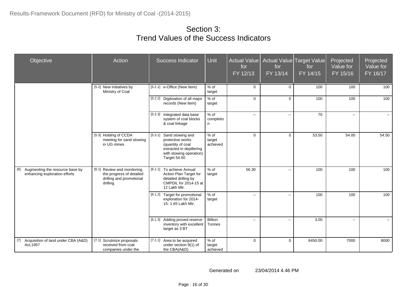| Objective                                                            | Action                                                                                           | <b>Success Indicator</b>                                                                                                                    | Unit                         | Actual Value<br>for<br>FY 12/13 | for<br>FY 13/14                               | Actual Value Target Value<br>for<br>FY 14/15 | Projected<br>Value for<br>FY 15/16 | Projected<br>Value for<br>FY 16/17 |
|----------------------------------------------------------------------|--------------------------------------------------------------------------------------------------|---------------------------------------------------------------------------------------------------------------------------------------------|------------------------------|---------------------------------|-----------------------------------------------|----------------------------------------------|------------------------------------|------------------------------------|
|                                                                      | [5.2] New initiatives by<br>Ministry of Coal                                                     | [5.2.1] e-Office (New Item)                                                                                                                 | % of<br>target               | $\mathbf 0$                     | $\mathbf 0$                                   | 100                                          | 100                                | 100                                |
|                                                                      |                                                                                                  | [5.2.2] Digitisation of all major<br>records (New Item)                                                                                     | % of<br>target               | $\Omega$                        | $\mathbf 0$                                   | 100                                          | 100                                | 100                                |
|                                                                      |                                                                                                  | [5.2.3] Integrated data base<br>system of coal blocks<br>& coal linkage                                                                     | % of<br>completio<br>n       | $\sim$                          | ÷÷                                            | 70                                           | $\overline{a}$                     | $\mathbf{e} = \mathbf{e}$          |
|                                                                      | [5.3] Holding of CCDA<br>meeting for sand stowing<br>in UG mines                                 | [5.3.1]<br>Sand stowing and<br>protective works<br>(quantity of coal<br>extracted in depillering<br>with stowing operation)<br>Target 54.50 | $%$ of<br>target<br>achieved | $\Omega$                        | $\Omega$                                      | 53.50                                        | 54.00                              | 54.50                              |
| [6] Augmenting the resource base by<br>enhancing exploration efforts | [6.1] Review and monitoring<br>the progress of detailed<br>drilling and promotional<br>drilling. | To achieve Annual<br>[6.1.1]<br>Action Plan Target for<br>detailed drilling by<br>CMPDIL for 2014-15 at<br>12 Lakh Mtr.                     | % of<br>target               | 56.30                           | ÷÷                                            | 100                                          | 100                                | 100                                |
|                                                                      |                                                                                                  | [6.1.2] Target for promotional<br>exploration for 2014-<br>15-1.65 Lakh Mtr.                                                                | % of<br>target               | $\sim$                          | $\overline{a}$                                | 100                                          | 100                                | 100                                |
|                                                                      |                                                                                                  | [6.1.3] Adding proved reserve<br>inventory with excellent<br>target as 3 BT                                                                 | <b>Billion</b><br>Tonnes     | $\sim$                          | $\mathord{\hspace{1pt}\text{--}\hspace{1pt}}$ | 3.00                                         | $\sim$                             | $\sim$                             |
| [7] Acquisition of land under CBA (A&D)<br>Act, 1957                 | [7.1] Scrutinize proposals<br>received from coal<br>companies under the                          | [7.1.1] Area to be acquired<br>under section 9(1) of<br>the CBA(A&D)                                                                        | $%$ of<br>target<br>achieved | $\mathbf 0$                     | $\mathbf 0$                                   | 6450.00                                      | 7000                               | 8000                               |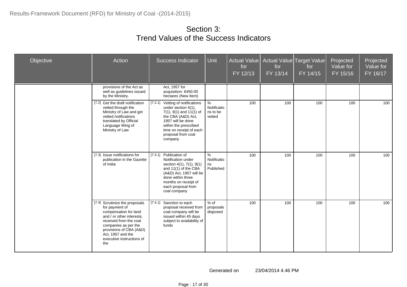| Objective | Action                                                                                                                                                                                                                                       | <b>Success Indicator</b>                                                                                                                                                                                               | Unit                                      | Actual Value<br>for<br>FY 12/13 | for<br>FY 13/14 | Actual Value Target Value<br>for<br>FY 14/15 | Projected<br>Value for<br>FY 15/16 | Projected<br>Value for<br>FY 16/17 |
|-----------|----------------------------------------------------------------------------------------------------------------------------------------------------------------------------------------------------------------------------------------------|------------------------------------------------------------------------------------------------------------------------------------------------------------------------------------------------------------------------|-------------------------------------------|---------------------------------|-----------------|----------------------------------------------|------------------------------------|------------------------------------|
|           | provisions of the Act as<br>well as guidelines issued<br>by the Ministry.                                                                                                                                                                    | Act, 1957 for<br>acquisition-6450.00<br>hectares (New Item)                                                                                                                                                            |                                           |                                 |                 |                                              |                                    |                                    |
|           | [7.2] Get the draft notification<br>vetted through the<br>Ministry of Law and get<br>vetted notifications<br>translated by Official<br>Language Wing of<br>Ministry of Law                                                                   | [7.2.1] Vetting of notifications<br>under section 4(1),<br>$7(1), 9(1)$ and $11(1)$ of<br>the CBA (A&D) Act,<br>1957 will be done<br>within the prescribed<br>time on receipt of each<br>proposal from coal<br>company | $\%$<br>Notificatio<br>ns to be<br>vetted | 100                             | 100             | 100                                          | 100                                | 100                                |
|           | [7.3] Issue notifications for<br>publication in the Gazette<br>of India                                                                                                                                                                      | [7.3.1] Publication of<br>Notification under<br>section 4(1), 7(1), 9(1)<br>and 11(1) of the CBA<br>(A&D) Act, 1957 will be<br>done within three<br>months on receipt of<br>each proposal from<br>coal company         | %<br>Notificatio<br>ns<br>Published       | 100                             | 100             | 100                                          | 100                                | 100                                |
|           | [7.4] Scrutinize the proposals<br>for payment of<br>compensation for land<br>and / or other interests.<br>received from the coal<br>companies as per the<br>provisions of CBA (A&D)<br>Act, 1957 and the<br>executive instructions of<br>the | [7.4.1] Sanction to each<br>proposal received from<br>coal company will be<br>issued within 45 days<br>subject to availability of<br>funds                                                                             | $%$ of<br>proposals<br>disposed           | 100                             | 100             | 100                                          | 100                                | 100                                |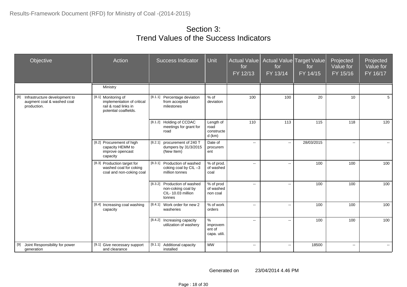| Objective                                                                         | Action                                                                                             | <b>Success Indicator</b>                                                          | Unit                                        | <b>Actual Value</b><br>for<br>FY 12/13 | for<br>FY 13/14             | Actual Value Target Value<br>for<br>FY 14/15 | Projected<br>Value for<br>FY 15/16 | Projected<br>Value for<br>FY 16/17 |
|-----------------------------------------------------------------------------------|----------------------------------------------------------------------------------------------------|-----------------------------------------------------------------------------------|---------------------------------------------|----------------------------------------|-----------------------------|----------------------------------------------|------------------------------------|------------------------------------|
|                                                                                   | Ministry                                                                                           |                                                                                   |                                             |                                        |                             |                                              |                                    |                                    |
| Infrastructure development to<br>[8]<br>augment coal & washed coal<br>production. | [8.1] Monitoring of<br>implementation of critical<br>rail & road links in<br>potential coalfields. | [8.1.1] Percentage deviation<br>from accepted<br>milestones                       | $%$ of<br>deviation                         | 100                                    | 100                         | 20                                           | 10                                 | 5 <sup>5</sup>                     |
|                                                                                   |                                                                                                    | [8.1.2] Holding of CCDAC<br>meetings for grant for<br>road                        | Length of<br>road<br>constructe<br>$d$ (km) | 110                                    | 113                         | 115                                          | 118                                | 120                                |
|                                                                                   | [8.2] Procurement of high<br>capacity HEMM to<br>improve opencast<br>capacity                      | [8.2.1] procurement of 240 T<br>dumpers by 31/3/2015<br>(New Item)                | Date of<br>procurem<br>ent                  | $\sim$                                 | $\sim$                      | 28/03/2015                                   | $\sim$                             | $\sim$                             |
|                                                                                   | [8.3] Production target for<br>washed coal for coking<br>coal and non-coking coal                  | [8.3.1] Production of washed<br>coking coal by CIL-3<br>million tonnes            | % of prod.<br>of washed<br>coal             | $\sim$                                 | $\mathbf{H}$                | 100                                          | 100                                | 100                                |
|                                                                                   |                                                                                                    | [8.3.2] Production of washed<br>non-coking coal by<br>CIL-10.03 million<br>tonnes | % of prod<br>of washed<br>non coal          | $\sim$                                 | $\mathcal{L}_{\mathcal{F}}$ | 100                                          | 100                                | 100                                |
|                                                                                   | [8.4] Increasing coal washing<br>capacity                                                          | [8.4.1]<br>Work order for new 2<br>washeries                                      | % of work<br>orders                         | $\sim$                                 | $\sim$                      | 100                                          | 100                                | 100                                |
|                                                                                   |                                                                                                    | [8.4.2] Increasing capacity<br>utilization of washery                             | $\%$<br>improvem<br>ent of<br>capa. utili.  | $\sim$                                 | $\mathbb{H}^{\mathbb{Z}}$   | 100                                          | 100                                | 100                                |
| Joint Responsibility for power<br>$[9]$<br>generation                             | [9.1] Give necessary support<br>and clearance                                                      | [9.1.1]<br>Additional capacity<br>installed                                       | <b>MW</b>                                   | $\sim$                                 | $\mathcal{L}_{\mathcal{F}}$ | 18500                                        | $\overline{\phantom{a}}$           | $\mathbf{e} = \mathbf{e}$          |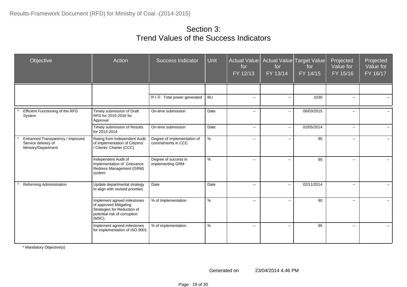| Objective                                                                      | Action                                                                                                                         | <b>Success Indicator</b>                          | <b>Unit</b> | Actual Value<br>for<br>FY 12/13 | for<br>FY 13/14                               | Actual Value Target Value<br>for<br>FY 14/15 | Projected<br>Value for<br>FY 15/16 | Projected<br>Value for<br>FY 16/17 |
|--------------------------------------------------------------------------------|--------------------------------------------------------------------------------------------------------------------------------|---------------------------------------------------|-------------|---------------------------------|-----------------------------------------------|----------------------------------------------|------------------------------------|------------------------------------|
|                                                                                |                                                                                                                                |                                                   |             |                                 |                                               |                                              |                                    |                                    |
|                                                                                |                                                                                                                                | [9.1.2] Total power generated                     | <b>BU</b>   | $\sim$                          | $\mathord{\hspace{1pt}\text{--}\hspace{1pt}}$ | 1030                                         | $\sim$                             | $\sim$                             |
| Efficient Functioning of the RFD<br>System                                     | Timely submission of Draft<br>RFD for 2015-2016 for<br>Approval                                                                | On-time submission                                | Date        | $\overline{\phantom{a}}$        | $\mathbf{L}$                                  | 06/03/2015                                   | $\overline{\phantom{a}}$           |                                    |
|                                                                                | Timely submission of Results<br>for 2013-2014                                                                                  | On-time submission                                | Date        | $\mathcal{L}_{\mathcal{F}}$     | $\mathbb{L}^{\mathbb{L}}$                     | 02/05/2014                                   | $\sim$                             | $\sim$                             |
| Enhanced Transparency / Improved<br>Service delivery of<br>Ministry/Department | Rating from Independent Audit<br>of implementation of Citizens'<br>/ Clients' Charter (CCC)                                    | Degree of implementation of<br>commitments in CCC | $\%$        | $\overline{\phantom{a}}$        | ÷÷                                            | 95                                           | $\overline{a}$                     | $\sim$                             |
|                                                                                | Independent Audit of<br>implementation of Grievance<br>Redress Management (GRM)<br>system                                      | Degree of success in<br>implementing GRM          | $\%$        | $\overline{\phantom{a}}$        | $\mathord{\hspace{1pt}\text{--}\hspace{1pt}}$ | 95                                           | $\mathbf{u}$                       | $\sim$                             |
| Reforming Administration                                                       | Update departmental strategy<br>to align with revised priorities                                                               | Date                                              | Date        | $\overline{\phantom{a}}$        | Ξ.                                            | 02/11/2014                                   | $\overline{a}$                     | $\sim$                             |
|                                                                                | Implement agreed milestones<br>of approved Mitigating<br>Strategies for Reduction of<br>potential risk of corruption<br>(MSC). | % of Implementation                               | $\%$        | $\overline{\phantom{a}}$        | --                                            | 90                                           | $\sim$                             | н.                                 |
|                                                                                | Implement agreed milestones<br>for implementation of ISO 9001                                                                  | % of implementation                               | %           | $\overline{\phantom{a}}$        | $\overline{\phantom{a}}$                      | 95                                           | $-$                                | $\sim$                             |

\* Mandatory Objective(s)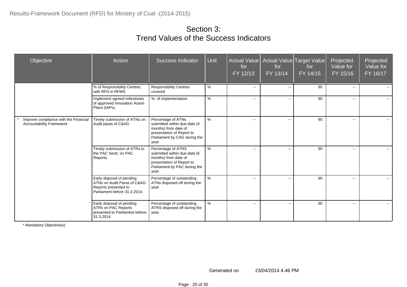| Objective                                                                | Action                                                                                                           | <b>Success Indicator</b>                                                                                                                         | Unit          | Actual Value<br>for<br>FY 12/13 | for<br>FY 13/14          | Actual Value Target Value<br>for<br>FY 14/15 | Projected<br>Value for<br>FY 15/16 | Projected<br>Value for<br>FY 16/17 |
|--------------------------------------------------------------------------|------------------------------------------------------------------------------------------------------------------|--------------------------------------------------------------------------------------------------------------------------------------------------|---------------|---------------------------------|--------------------------|----------------------------------------------|------------------------------------|------------------------------------|
|                                                                          | % of Responsibility Centres<br>with RFD in RFMS                                                                  | <b>Responsibility Centres</b><br>covered                                                                                                         | $\%$          | $\overline{\phantom{a}}$        | $\overline{\phantom{a}}$ | 95                                           | $\overline{\phantom{a}}$           |                                    |
|                                                                          | Implement agreed milestones<br>of approved Innovation Action<br>Plans (IAPs).                                    | % of implementation                                                                                                                              | $\%$          | $\mathbf{u}$                    | $\overline{\phantom{a}}$ | 90                                           | $-$                                | $\sim$                             |
| Improve compliance with the Financial<br><b>Accountability Framework</b> | Timely submission of ATNs on<br>Audit paras of C&AG                                                              | Percentage of ATNs<br>submitted within due date (4<br>months) from date of<br>presentation of Report to<br>Parliament by CAG during the<br>year. | $\frac{9}{6}$ | $\overline{\phantom{a}}$        | $\overline{\phantom{a}}$ | 90                                           | $-$                                | $\sim$ $\sim$                      |
|                                                                          | Timely submission of ATRs to<br>the PAC Sectt. on PAC<br>Reports.                                                | Percentage of ATRS<br>submitted within due date (6<br>months) from date of<br>presentation of Report to<br>Parliament by PAC during the<br>year. | $\frac{9}{6}$ | $\overline{a}$                  | $\overline{\phantom{a}}$ | 90                                           | $\overline{\phantom{a}}$           |                                    |
|                                                                          | Early disposal of pending<br>ATNs on Audit Paras of C&AG<br>Reports presented to<br>Parliament before 31.3.2014. | Percentage of outstanding<br>ATNs disposed off during the<br>year.                                                                               | %             | $-$                             | $\overline{\phantom{a}}$ | 90                                           | --                                 | $\overline{\phantom{a}}$           |
|                                                                          | Early disposal of pending<br><b>ATRs on PAC Reports</b><br>presented to Parliament before<br>31.3.2014           | Percentage of outstanding<br>ATRS disposed off during the<br>year.                                                                               | %             | $\mathbf{u}$                    | $\overline{\phantom{a}}$ | 90                                           | $\overline{\phantom{a}}$           | $\overline{\phantom{a}}$           |

\* Mandatory Objective(s)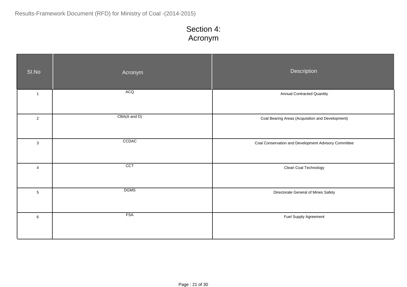## Section 4: Acronym

| SI.No          | Acronym          | Description                                          |
|----------------|------------------|------------------------------------------------------|
| $\overline{1}$ | <b>ACQ</b>       | <b>Annual Contracted Quantity</b>                    |
| $\mathbf 2$    | CBA(A and D)     | Coal Bearing Areas (Acquisition and Development)     |
| $\mathbf{3}$   | CCDAC            | Coal Conservation and Development Advisory Committee |
| 4              | $\overline{CCT}$ | Clean Coal Technology                                |
| $\overline{5}$ | <b>DGMS</b>      | Directorate General of Mines Safety                  |
| $\,6\,$        | <b>FSA</b>       | Fuel Supply Agreement                                |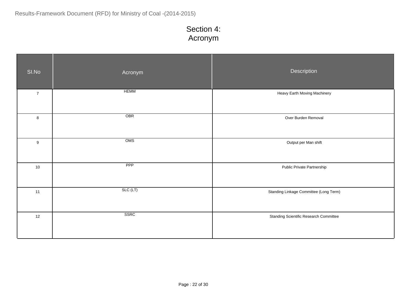## Section 4: Acronym

| SI.No          | Acronym     | Description                                   |
|----------------|-------------|-----------------------------------------------|
| $\overline{7}$ | <b>HEMM</b> | Heavy Earth Moving Machinery                  |
| $\bf 8$        | OBR         | Over Burden Removal                           |
| $9\,$          | OMS         | Output per Man shift                          |
| 10             | PPP         | Public Private Partnership                    |
| $11$           | SLC (LT)    | Standing Linkage Committee (Long Term)        |
| 12             | SSRC        | <b>Standing Scientific Research Committee</b> |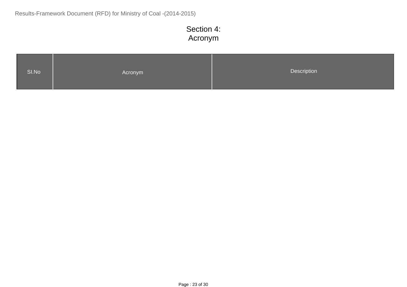# Section 4: Acronym

| Description<br>SI.No<br>Acronym |  |
|---------------------------------|--|
|---------------------------------|--|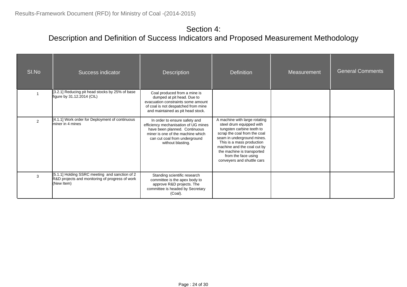#### Section 4: Description and Definition of Success Indicators and Proposed Measurement Methodology

| SI.No         | Success indicator                                                                                               | <b>Description</b>                                                                                                                                                                                | <b>Definition</b>                                                                                                                                                                                                                                                                                   | Measurement | <b>General Comments</b> |
|---------------|-----------------------------------------------------------------------------------------------------------------|---------------------------------------------------------------------------------------------------------------------------------------------------------------------------------------------------|-----------------------------------------------------------------------------------------------------------------------------------------------------------------------------------------------------------------------------------------------------------------------------------------------------|-------------|-------------------------|
|               | [3.2.1] Reducing pit head stocks by 25% of base<br>figure by 31.12.2014 (CIL)                                   | Coal produced from a mine is<br>dumped at pit head. Due to<br>evacuation constraints some amount<br>of coal is not despatched from mine<br>and maintained as pit head stock.                      |                                                                                                                                                                                                                                                                                                     |             |                         |
| $\mathcal{P}$ | [4.1.1] Work order for Deployment of continuous<br>miner in 4 mines                                             | In order to ensure safety and<br>efficiency mechanisation of UG mines<br>have been planned. Continuous<br>miner is one of the machine which<br>can cut coal from underground<br>without blasting. | A machine with large rotating<br>steel drum equipped with<br>tungsten carbine teeth to<br>scrap the coal from the coal<br>seam in underground mines.<br>This is a mass production<br>machine and the coal cut by<br>the machine is transported<br>from the face using<br>conveyers and shuttle cars |             |                         |
| 3             | [5.1.1] Holding SSRC meeting and sanction of 2<br>R&D projects and monitoring of progress of work<br>(New Item) | Standing scientific research<br>committee is the apex body to<br>approve R&D projects. The<br>committee is headed by Secretary<br>(Coal).                                                         |                                                                                                                                                                                                                                                                                                     |             |                         |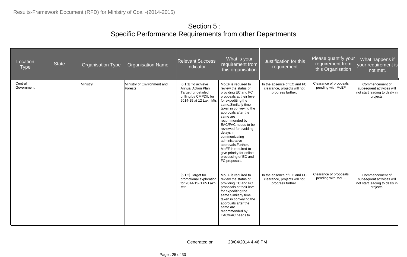| Location<br><b>Type</b> | <b>State</b> | <b>Organisation Type</b> | <b>Organisation Name</b>               | <b>Relevant Success</b><br>Indicator                                                                                 | What is your<br>requirement from<br>this organisation                                                                                                                                                                                                                                                                                                                                                                                        | Justification for this<br>requirement                                            | Please quantify your<br>requirement from<br>this Organisation | What happens if<br>your requirement is<br>not met.                                          |
|-------------------------|--------------|--------------------------|----------------------------------------|----------------------------------------------------------------------------------------------------------------------|----------------------------------------------------------------------------------------------------------------------------------------------------------------------------------------------------------------------------------------------------------------------------------------------------------------------------------------------------------------------------------------------------------------------------------------------|----------------------------------------------------------------------------------|---------------------------------------------------------------|---------------------------------------------------------------------------------------------|
| Central<br>Government   |              | Ministry                 | Ministry of Environment and<br>Forests | [6.1.1] To achieve<br>Annual Action Plan<br>Target for detailed<br>drilling by CMPDIL for<br>2014-15 at 12 Lakh Mtr. | MoEF is required to<br>review the status of<br>providing EC and FC<br>proposals at their level<br>for expediting the<br>same.Similarly time<br>taken in conveying the<br>approvals after the<br>same are<br>recommended by<br>EAC/FAC needs to be<br>reviewed for avoiding<br>delays in<br>communicating<br>administrative<br>approvals.Further,<br>MoEF is required to<br>give priority for online<br>processing of EC and<br>FC proposals. | In the absence of EC and FC<br>clearance, projects will not<br>progress further. | Clearance of proposals<br>pending with MoEF                   | Commencement of<br>subsequent activities will<br>not start leading to dealy in<br>projects. |
|                         |              |                          |                                        | [6.1.2] Target for<br>promotional exploration<br>for 2014-15- 1.65 Lakh<br>Mtr.                                      | MoEF is required to<br>review the status of<br>providing EC and FC<br>proposals at their level<br>for expediting the<br>same.Similarly time<br>taken in conveying the<br>approvals after the<br>same are<br>recommended by<br>EAC/FAC needs to                                                                                                                                                                                               | In the absence of EC and FC<br>clearance, projects will not<br>progress further. | Clearance of proposals<br>pending with MoEF                   | Commencement of<br>subsequent activities will<br>not start leading to dealy in<br>projects. |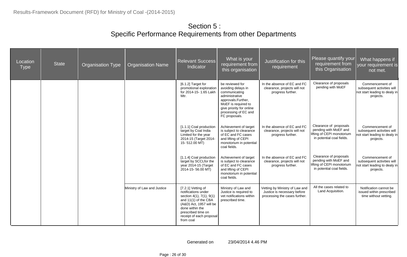| Location<br><b>Type</b> | <b>State</b> | <b>Organisation Type</b> | <b>Organisation Name</b>    | <b>Relevant Success</b><br>Indicator                                                                                                                                                                       | What is your<br>requirement from<br>this organisation                                                                                                                                      | Justification for this<br>requirement                                                          | Please quantify your<br>requirement from<br>this Organisation                                              | What happens if<br>your requirement is<br>not met.                                          |
|-------------------------|--------------|--------------------------|-----------------------------|------------------------------------------------------------------------------------------------------------------------------------------------------------------------------------------------------------|--------------------------------------------------------------------------------------------------------------------------------------------------------------------------------------------|------------------------------------------------------------------------------------------------|------------------------------------------------------------------------------------------------------------|---------------------------------------------------------------------------------------------|
|                         |              |                          |                             | [6.1.2] Target for<br>promotional exploration<br>for 2014-15-1.65 Lakh<br>Mtr.                                                                                                                             | be reviewed for<br>avoiding delays in<br>communicating<br>administrative<br>approvals.Further,<br>MoEF is required to<br>give priority for online<br>processing of EC and<br>FC proposals. | In the absence of EC and FC<br>clearance, projects will not<br>progress further.               | Clearance of proposals<br>pending with MoEF                                                                | Commencement of<br>subsequent activities will<br>not start leading to dealy in<br>projects. |
|                         |              |                          |                             | [1.1.1] Coal production<br>target by Coal India<br>Limited for the year<br>2014-15 (Target 2014-<br>15-512.00 MT)                                                                                          | Achievement of target<br>is subject to clearance<br>of EC and FC cases<br>and lifting of CEPI<br>monotorium in potential<br>coal fields.                                                   | In the absence of EC and FC<br>clearance, projects will not<br>progress further.               | Clearance of proposals<br>pending with MoEF and<br>lifting of CEPI monotorium<br>in potential coal fields. | Commencement of<br>subsequent activities will<br>not start leading to dealy in<br>projects. |
|                         |              |                          |                             | [1.1.4] Coal production<br>target by SCCLfor the<br>year 2014-15 (Target<br>2014-15-56.00 MT)                                                                                                              | Achievement of target<br>is subject to clearance<br>of EC and FC cases<br>and lifting of CEPI<br>monotorium in potential<br>coal fields.                                                   | In the absence of EC and FC<br>clearance, projects will not<br>progress further.               | Clearance of proposals<br>pending with MoEF and<br>lifting of CEPI monotorium<br>in potential coal fields. | Commencement of<br>subsequent activities will<br>not start leading to dealy in<br>projects. |
|                         |              |                          | Ministry of Law and Justice | [7.2.1] Vetting of<br>notifications under<br>section 4(1), 7(1), 9(1)<br>and 11(1) of the CBA<br>(A&D) Act, 1957 will be<br>done within the<br>prescribed time on<br>receipt of each proposal<br>from coal | Ministry of Law and<br>Justice is required to<br>vet notifications within<br>prescribed time.                                                                                              | Vetting by Ministry of Law and<br>Justice is necessary before<br>processing the cases further. | All the cases related to<br>Land Acquisition.                                                              | Notification cannot be<br>issued within prescribed<br>time without vetting.                 |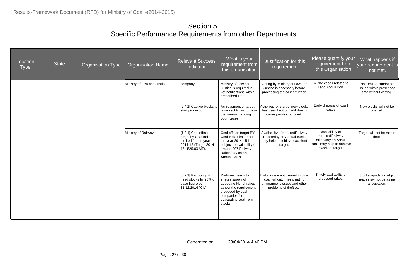| Location<br><b>Type</b> | <b>State</b> | <b>Organisation Type</b> | <b>Organisation Name</b>    | <b>Relevant Success</b><br>Indicator                                                                            | What is your<br>requirement from<br>this organisation                                                                                                            | Justification for this<br>requirement                                                                                        | Please quantify your<br>requirement from<br>this Organisation                                               | What happens if<br>your requirement is<br>not met.                          |
|-------------------------|--------------|--------------------------|-----------------------------|-----------------------------------------------------------------------------------------------------------------|------------------------------------------------------------------------------------------------------------------------------------------------------------------|------------------------------------------------------------------------------------------------------------------------------|-------------------------------------------------------------------------------------------------------------|-----------------------------------------------------------------------------|
|                         |              |                          | Ministry of Law and Justice | company                                                                                                         | Ministry of Law and<br>Justice is required to<br>vet notifications within<br>prescribed time.                                                                    | Vetting by Ministry of Law and<br>Justice is necessary before<br>processing the cases further.                               | All the cases related to<br>Land Acquisition.                                                               | Notification cannot be<br>issued within prescribed<br>time without vetting. |
|                         |              |                          |                             | [2.4.1] Captive blocks to<br>start production                                                                   | Achievement of target<br>is subject to outcome in<br>the various pending<br>court cases                                                                          | Activities for start of new blocks<br>has been kept on held due to<br>cases pending at court.                                | Early disposal of court<br>cases                                                                            | New blocks will not be<br>opened.                                           |
|                         |              |                          | Ministry of Railways        | [1.3.1] Coal offtake<br>target by Coal India<br>Limited for the year<br>2014-15 (Target 2014-<br>15-525.00 MT). | Coal offtake target BY<br>Coal India Limited for<br>the year 2014-15 is<br>subject to availability of<br>around 207 Railway<br>Rakes/day on an<br>Annual Basis.  | Availability of required Railway<br>Rakes/day on Annual Basis<br>may help to achieve excellent<br>target.                    | Availability of<br>requiredRailway<br>Rakes/day on Annual<br>Basis may help to achieve<br>excellent target. | Target will not be met in<br>time.                                          |
|                         |              |                          |                             | [3.2.1] Reducing pit<br>head stocks by 25% of<br>base figure by<br>31.12.2014 (CIL)                             | Railways needs to<br>ensure supply of<br>adequate No. of rakes<br>as per the requirement<br>proposed by coal<br>companies for<br>evacuating coal from<br>stocks. | If stocks are not cleared in time<br>coal will catch fire creating<br>environment issues and other<br>problems of theft etc. | Timely availability of<br>proposed rakes.                                                                   | Stocks liquidation at pit<br>heads may not be as per<br>anticipation.       |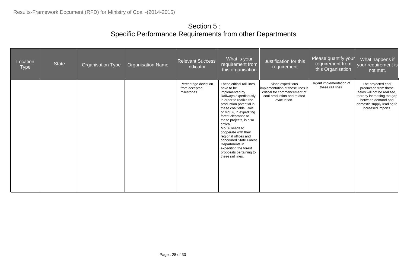| Location<br><b>Type</b> | <b>State</b> | <b>Organisation Type</b> | <b>Organisation Name</b> | <b>Relevant Success</b><br>Indicator                | What is your<br>requirement from<br>this organisation                                                                                                                                                                                                                                                                                                                                                                                              | Justification for this<br>requirement                                                                                               | Please quantify your<br>requirement from<br>this Organisation | What happens if<br>your requirement is<br>not met.                                                                                                                                  |
|-------------------------|--------------|--------------------------|--------------------------|-----------------------------------------------------|----------------------------------------------------------------------------------------------------------------------------------------------------------------------------------------------------------------------------------------------------------------------------------------------------------------------------------------------------------------------------------------------------------------------------------------------------|-------------------------------------------------------------------------------------------------------------------------------------|---------------------------------------------------------------|-------------------------------------------------------------------------------------------------------------------------------------------------------------------------------------|
|                         |              |                          |                          | Percentage deviation<br>from accepted<br>milestones | These critical rail lines<br>have to be<br>implemented by<br>Railways expeditiously<br>in order to realize the<br>production potential in<br>these coalfields. Role<br>of MoEF, in expediting<br>forest clearance to<br>these projects, is also<br>critical.<br>MoEF needs to<br>cooperate with their<br>regional offices and<br>concerned State Forest<br>Departments in<br>expediting the forest<br>proposals pertaining to<br>these rail lines. | Since expeditious<br>implementation of these lines is<br>critical for commencement of<br>coal production and related<br>evacuation. | Urgent implementation of<br>these rail lines                  | The projected coal<br>production from these<br>fields will not be realized,<br>thereby increasing the gap<br>between demand and<br>domestic supply leading to<br>increased imports. |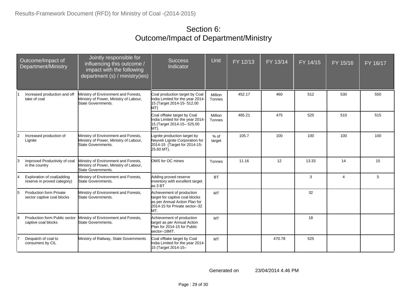#### Section 6: Outcome/Impact of Department/Ministry

| Outcome/Impact of<br>Department/Ministry |                                                              | Jointly responsible for<br>influencing this outcome /<br>impact with the following<br>department (s) / ministry(ies) | <b>Success</b><br>Indicator                                                                                                          | Unit              | FY 12/13 | FY 13/14 | FY 14/15 | FY 15/16       | FY 16/17 |
|------------------------------------------|--------------------------------------------------------------|----------------------------------------------------------------------------------------------------------------------|--------------------------------------------------------------------------------------------------------------------------------------|-------------------|----------|----------|----------|----------------|----------|
|                                          | Increased production and off<br>take of coal                 | Ministry of Environment and Forests,<br>Ministry of Power, Ministry of Labour,<br>State Governments.                 | Coal production target by Coal<br>India Limited for the year 2014-<br>15 (Target 2014-15- 512.00<br>MT)                              | Million<br>Tonnes | 452.17   | 460      | 512      | 530            | 550      |
|                                          |                                                              |                                                                                                                      | Coal offtake target by Coal<br>India Limited for the year 2014-<br>15 (Target 2014-15-525.00<br>MT).                                 | Million<br>Tonnes | 465.21   | 475      | 525      | 510            | 515      |
| 12                                       | Increased production of<br>Lignite                           | Ministry of Environment and Forests,<br>Ministry of Power, Ministry of Labour,<br>State Governments.                 | Lignite production target by<br>Neyveli Lignite Corporation for<br>2014-15 (Target for 2014-15-<br>25.60 MT).                        | $%$ of<br>target  | 105.7    | 100      | 100      | 100            | 100      |
| l3                                       | Improved Productivity of coal<br>in the country              | Ministry of Environment and Forests,<br>Ministry of Power, Ministry of Labour,<br>State Governments.                 | OMS for OC mines                                                                                                                     | Tonnes            | 11.16    | 12       | 13.33    | 14             | 15       |
|                                          | Exploration of coal(adding<br>reserve in proved category)    | Ministry of Environment and Forests,<br>State Governments.                                                           | Adding proved reserve<br>inventory with excellent target<br>as 3 BT                                                                  | <b>BT</b>         |          |          | 3        | $\overline{4}$ | 5        |
| 5                                        | <b>Production form Private</b><br>sector captive coal blocks | Ministry of Environment and Forests,<br>State Governments.                                                           | Achievement of production<br>target for captive coal blocks<br>as per Annual Action Plan for<br>2014-15 for Private sector-32<br>MT. | <b>MT</b>         |          |          | 32       |                |          |
| 16                                       | Production form Public sector<br>captive coal blocks         | Ministry of Environment and Forests,<br>State Governments.                                                           | Achievement of production<br>target as per Annual Action<br>Plan for 2014-15 for Public<br>sector-18MT.                              | <b>MT</b>         |          |          | 18       |                |          |
|                                          | Despatch of coal to<br>consumers by CIL                      | Ministry of Railway, State Governments                                                                               | Coal offtake target by Coal<br>India Limited for the year 2014-<br>15 (Target 2014-15-                                               | <b>MT</b>         |          | 470.78   | 525      |                |          |